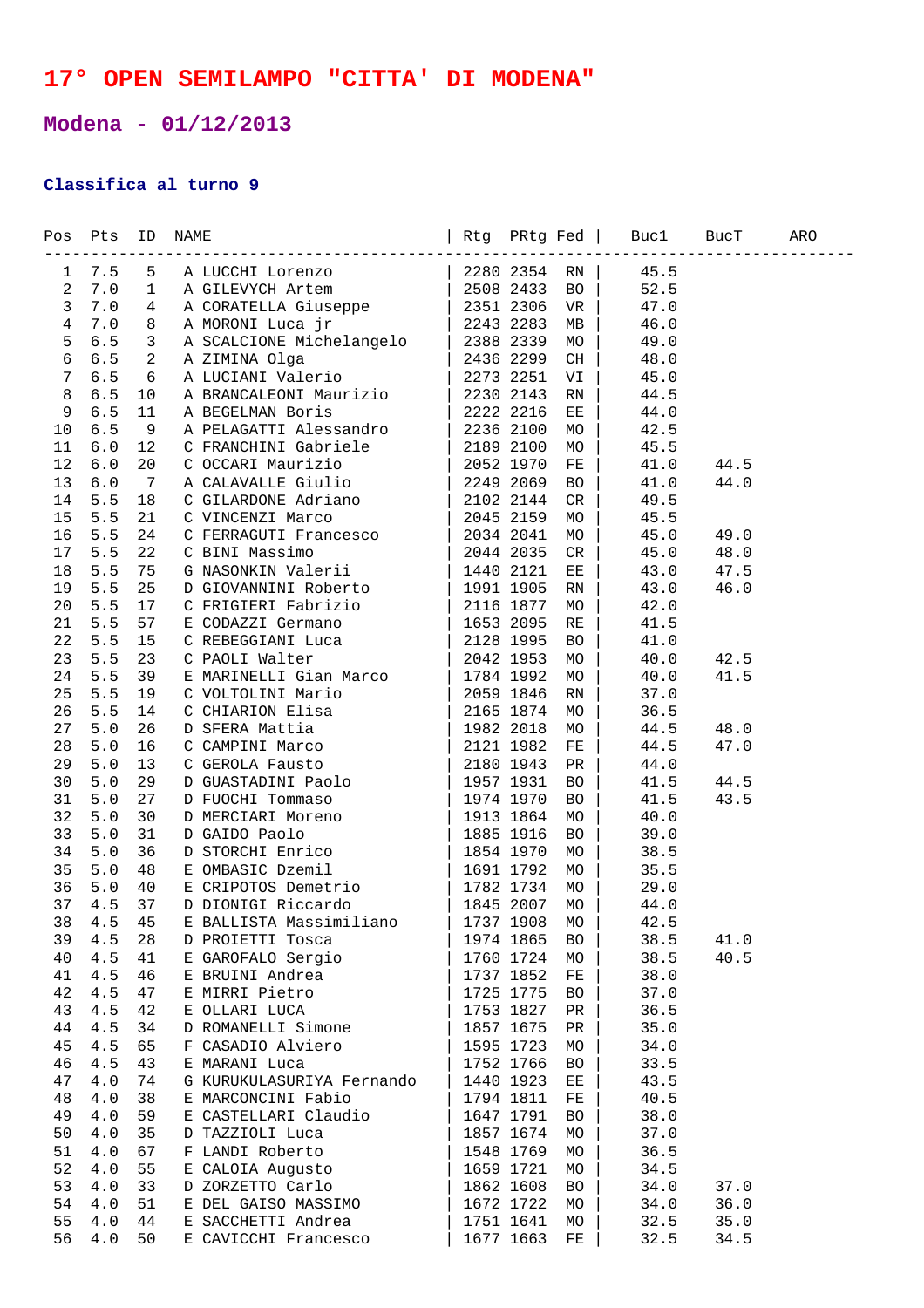## **17° OPEN SEMILAMPO "CITTA' DI MODENA"**

## **Modena - 01/12/2013**

## **Classifica al turno 9**

|                |                 |                 | $\begin{tabular}{l c c c c} \multicolumn{1}{l}{\textbf{R-BUCH}} & \multicolumn{1}{l}{\textbf{R-BUCH}} & \multicolumn{1}{l}{\textbf{R-BUCH}} & \multicolumn{1}{l}{\textbf{R-BUCH}} & \multicolumn{1}{l}{\textbf{R-DUCH}} & \multicolumn{1}{l}{\textbf{R-DUCH}} & \multicolumn{1}{l}{\textbf{R-DUCH}} & \multicolumn{1}{l}{\textbf{R-DUCH}} & \multicolumn{1}{l}{\textbf{R-DUCH}} & \multicolumn{1}{l}{\textbf{R-DUCH}} & \multicolumn{1}{l}{\textbf{R$ |           |           |           |      |      |  |
|----------------|-----------------|-----------------|-------------------------------------------------------------------------------------------------------------------------------------------------------------------------------------------------------------------------------------------------------------------------------------------------------------------------------------------------------------------------------------------------------------------------------------------------------|-----------|-----------|-----------|------|------|--|
|                | $1 \t 7.5 \t 5$ |                 |                                                                                                                                                                                                                                                                                                                                                                                                                                                       |           |           |           |      |      |  |
| $\mathbf{2}$   | 7.0             | $\mathbf{1}$    |                                                                                                                                                                                                                                                                                                                                                                                                                                                       |           |           |           |      |      |  |
| $\mathbf{3}$   | $7.0$           | $4\overline{ }$ |                                                                                                                                                                                                                                                                                                                                                                                                                                                       |           |           |           |      |      |  |
| $\overline{4}$ | 7.0             | 8               |                                                                                                                                                                                                                                                                                                                                                                                                                                                       |           |           |           |      |      |  |
| 5              | $6.5$           | $\mathbf{3}$    |                                                                                                                                                                                                                                                                                                                                                                                                                                                       |           |           |           |      |      |  |
| $\epsilon$     | 6.5             | $\mathbf{2}$    |                                                                                                                                                                                                                                                                                                                                                                                                                                                       |           |           |           |      |      |  |
| $7\phantom{.}$ | $6.5$           | $\sqrt{6}$      |                                                                                                                                                                                                                                                                                                                                                                                                                                                       |           |           |           |      |      |  |
| $\,8\,$        | $6.5$           | 10              |                                                                                                                                                                                                                                                                                                                                                                                                                                                       |           |           |           |      |      |  |
| 9              | $6.5$           | 11              |                                                                                                                                                                                                                                                                                                                                                                                                                                                       |           |           |           |      |      |  |
| 10             | 6.5             | 9               |                                                                                                                                                                                                                                                                                                                                                                                                                                                       |           |           |           |      |      |  |
| 11             | 6.0             | 12              |                                                                                                                                                                                                                                                                                                                                                                                                                                                       |           |           |           |      |      |  |
| 12             | 6.0             | 20              |                                                                                                                                                                                                                                                                                                                                                                                                                                                       |           |           |           |      | 44.5 |  |
| 13             | $6.0$           | 7               |                                                                                                                                                                                                                                                                                                                                                                                                                                                       |           |           |           |      | 44.0 |  |
| 14             |                 |                 |                                                                                                                                                                                                                                                                                                                                                                                                                                                       |           |           |           |      |      |  |
|                | 5.5             | 18              |                                                                                                                                                                                                                                                                                                                                                                                                                                                       |           |           |           |      |      |  |
| 15             | 5.5             | 21              |                                                                                                                                                                                                                                                                                                                                                                                                                                                       |           |           |           |      |      |  |
| 16             | 5.5             | 24              |                                                                                                                                                                                                                                                                                                                                                                                                                                                       |           |           |           |      | 49.0 |  |
| 17             | 5.5             | 22              |                                                                                                                                                                                                                                                                                                                                                                                                                                                       |           |           |           |      | 48.0 |  |
| 18             | $5.5$           | 75              |                                                                                                                                                                                                                                                                                                                                                                                                                                                       |           |           |           |      | 47.5 |  |
| 19             | 5.5             | 25              |                                                                                                                                                                                                                                                                                                                                                                                                                                                       |           |           |           |      | 46.0 |  |
| 20             | 5.5             | 17              |                                                                                                                                                                                                                                                                                                                                                                                                                                                       |           |           |           |      |      |  |
| 21             | 5.5             | 57              |                                                                                                                                                                                                                                                                                                                                                                                                                                                       |           |           |           |      |      |  |
| 22             | 5.5             | 15              |                                                                                                                                                                                                                                                                                                                                                                                                                                                       |           |           |           |      |      |  |
| 23             | 5.5             | 23              |                                                                                                                                                                                                                                                                                                                                                                                                                                                       |           |           |           |      | 42.5 |  |
| 24             | 5.5             | 39              |                                                                                                                                                                                                                                                                                                                                                                                                                                                       |           |           |           |      | 41.5 |  |
| 25             | 5.5             | 19              |                                                                                                                                                                                                                                                                                                                                                                                                                                                       |           |           |           |      |      |  |
| 26             | 5.5             | 14              |                                                                                                                                                                                                                                                                                                                                                                                                                                                       |           |           |           |      |      |  |
| 27             | 5.0             | 26              |                                                                                                                                                                                                                                                                                                                                                                                                                                                       |           |           |           |      | 48.0 |  |
| 28             | 5.0             | 16              |                                                                                                                                                                                                                                                                                                                                                                                                                                                       |           |           |           |      | 47.0 |  |
| 29             | 5.0             | 13              |                                                                                                                                                                                                                                                                                                                                                                                                                                                       |           |           |           |      |      |  |
| 30             | 5.0             | 29              |                                                                                                                                                                                                                                                                                                                                                                                                                                                       |           |           |           |      | 44.5 |  |
| 31             | 5.0             | 27              |                                                                                                                                                                                                                                                                                                                                                                                                                                                       |           |           |           |      | 43.5 |  |
| 32             | $5.0$           | 30              |                                                                                                                                                                                                                                                                                                                                                                                                                                                       |           |           |           |      |      |  |
| 33             | $5.0$           | 31              |                                                                                                                                                                                                                                                                                                                                                                                                                                                       |           |           |           |      |      |  |
| 34             | 5.0             | 36              |                                                                                                                                                                                                                                                                                                                                                                                                                                                       |           |           |           |      |      |  |
| 35             | $5.0$           | 48              |                                                                                                                                                                                                                                                                                                                                                                                                                                                       |           |           |           |      |      |  |
| 36             | $5.0$           | 40              |                                                                                                                                                                                                                                                                                                                                                                                                                                                       |           |           |           |      |      |  |
| 37             | 4.5             | 37              |                                                                                                                                                                                                                                                                                                                                                                                                                                                       |           |           |           |      |      |  |
| 38             | 4.5             | 45              |                                                                                                                                                                                                                                                                                                                                                                                                                                                       |           |           |           |      |      |  |
| 39             | 4.5             | 28              | D PROIETTI Tosca                                                                                                                                                                                                                                                                                                                                                                                                                                      |           | 1974 1865 | <b>BO</b> | 38.5 | 41.0 |  |
| 40             | 4.5             | 41              | E GAROFALO Sergio                                                                                                                                                                                                                                                                                                                                                                                                                                     |           | 1760 1724 | MO        | 38.5 | 40.5 |  |
| 41             | 4.5             | 46              | E BRUINI Andrea                                                                                                                                                                                                                                                                                                                                                                                                                                       |           | 1737 1852 | FE        | 38.0 |      |  |
| 42             | 4.5             | 47              | E MIRRI Pietro                                                                                                                                                                                                                                                                                                                                                                                                                                        |           | 1725 1775 | BO        | 37.0 |      |  |
| 43             | 4.5             | 42              | E OLLARI LUCA                                                                                                                                                                                                                                                                                                                                                                                                                                         |           | 1753 1827 | PR        | 36.5 |      |  |
| 44             | 4.5             | 34              | D ROMANELLI Simone                                                                                                                                                                                                                                                                                                                                                                                                                                    |           | 1857 1675 | PR        | 35.0 |      |  |
| 45             | 4.5             | 65              | F CASADIO Alviero                                                                                                                                                                                                                                                                                                                                                                                                                                     |           | 1595 1723 | МO        | 34.0 |      |  |
| 46             | 4.5             | 43              | E MARANI Luca                                                                                                                                                                                                                                                                                                                                                                                                                                         | 1752 1766 |           | BO        | 33.5 |      |  |
| 47             | 4.0             | 74              | G KURUKULASURIYA Fernando                                                                                                                                                                                                                                                                                                                                                                                                                             |           | 1440 1923 | ЕE        | 43.5 |      |  |
| 48             | 4.0             | 38              | E MARCONCINI Fabio                                                                                                                                                                                                                                                                                                                                                                                                                                    |           | 1794 1811 | FE        | 40.5 |      |  |
| 49             | 4.0             | 59              | E CASTELLARI Claudio                                                                                                                                                                                                                                                                                                                                                                                                                                  |           | 1647 1791 | BO        | 38.0 |      |  |
| 50             | 4.0             | 35              | D TAZZIOLI Luca                                                                                                                                                                                                                                                                                                                                                                                                                                       |           | 1857 1674 | MO        | 37.0 |      |  |
| 51             | 4.0             | 67              | F LANDI Roberto                                                                                                                                                                                                                                                                                                                                                                                                                                       |           | 1548 1769 | MO        | 36.5 |      |  |
| 52             | 4.0             | 55              |                                                                                                                                                                                                                                                                                                                                                                                                                                                       |           | 1659 1721 | MO        | 34.5 |      |  |
| 53             | 4.0             | 33              | E CALOIA Augusto<br>D ZORZETTO Carlo                                                                                                                                                                                                                                                                                                                                                                                                                  |           | 1862 1608 |           | 34.0 |      |  |
|                |                 |                 |                                                                                                                                                                                                                                                                                                                                                                                                                                                       |           |           | BO        |      | 37.0 |  |
| 54             | 4.0             | 51              | E DEL GAISO MASSIMO                                                                                                                                                                                                                                                                                                                                                                                                                                   | 1672 1722 |           | MO        | 34.0 | 36.0 |  |
| 55             | 4.0             | 44              | E SACCHETTI Andrea                                                                                                                                                                                                                                                                                                                                                                                                                                    | 1751 1641 |           | MO        | 32.5 | 35.0 |  |
| 56             | 4.0             | 50              | E CAVICCHI Francesco                                                                                                                                                                                                                                                                                                                                                                                                                                  |           | 1677 1663 | FE        | 32.5 | 34.5 |  |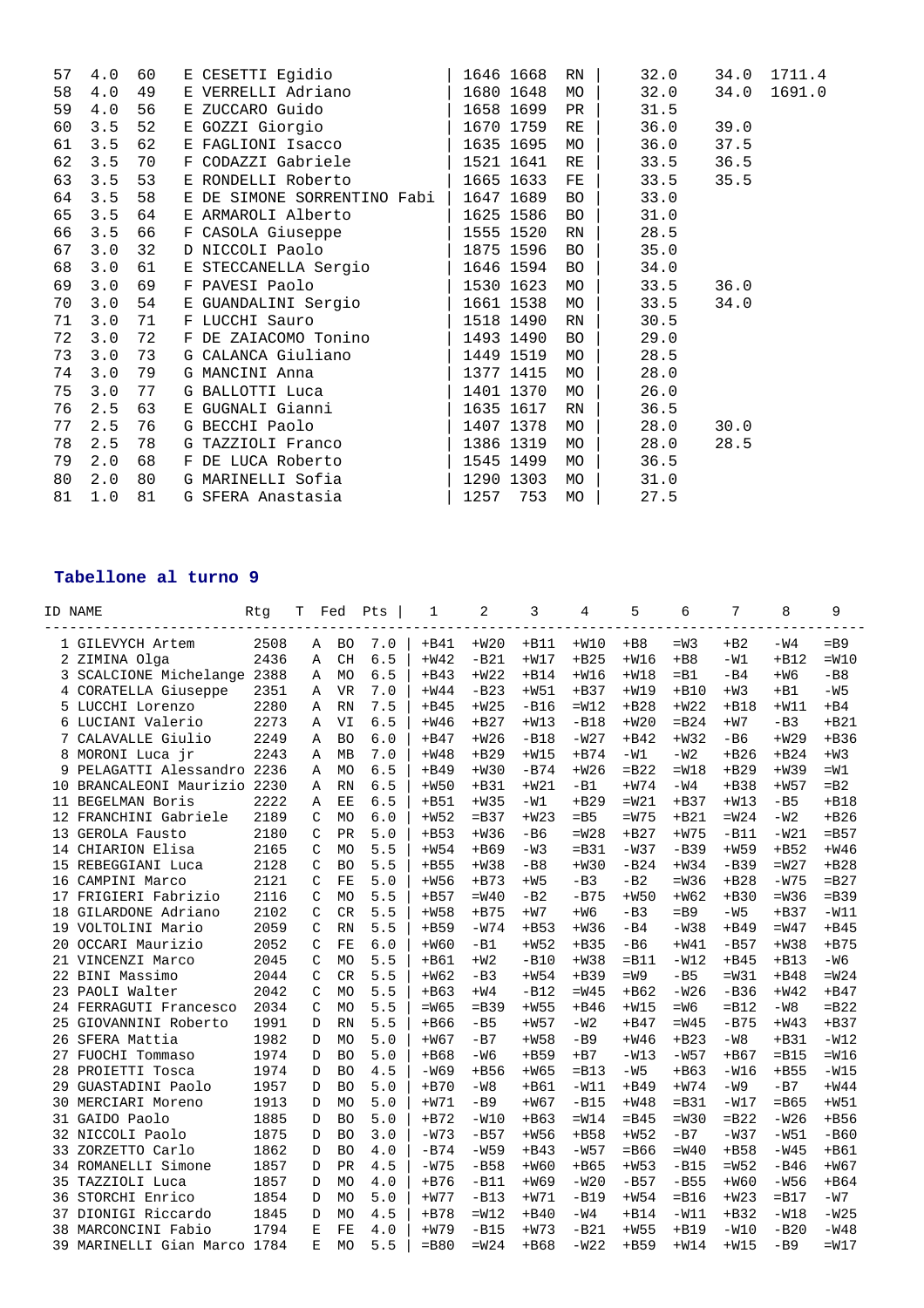| 57 | 4.0 | 60 |              | E CESETTI Egidio            |      | 1646 1668 | RN        | 32.0 | 34.0 | 1711.4 |
|----|-----|----|--------------|-----------------------------|------|-----------|-----------|------|------|--------|
| 58 | 4.0 | 49 |              | E VERRELLI Adriano          |      | 1680 1648 | МO        | 32.0 | 34.0 | 1691.0 |
| 59 | 4.0 | 56 |              |                             |      | 1658 1699 | PR        | 31.5 |      |        |
| 60 | 3.5 | 52 |              | E GOZZI Giorgio             |      | 1670 1759 | RE        | 36.0 | 39.0 |        |
| 61 | 3.5 | 62 |              | E FAGLIONI Isacco           |      | 1635 1695 | MO        | 36.0 | 37.5 |        |
| 62 | 3.5 | 70 | $\mathbf{F}$ | CODAZZI Gabriele            |      | 1521 1641 | RE        | 33.5 | 36.5 |        |
| 63 | 3.5 | 53 |              | E RONDELLI Roberto          |      | 1665 1633 | FE        | 33.5 | 35.5 |        |
| 64 | 3.5 | 58 |              | E DE SIMONE SORRENTINO Fabi |      | 1647 1689 | <b>BO</b> | 33.0 |      |        |
| 65 | 3.5 | 64 |              | E ARMAROLI Alberto          |      | 1625 1586 | BO        | 31.0 |      |        |
| 66 | 3.5 | 66 |              | F CASOLA Giuseppe           |      | 1555 1520 | RN        | 28.5 |      |        |
| 67 | 3.0 | 32 |              | D NICCOLI Paolo             |      | 1875 1596 | <b>BO</b> | 35.0 |      |        |
| 68 | 3.0 | 61 |              | E STECCANELLA Sergio        |      | 1646 1594 | BO        | 34.0 |      |        |
| 69 | 3.0 | 69 |              | F PAVESI Paolo              |      | 1530 1623 | MO        | 33.5 | 36.0 |        |
| 70 | 3.0 | 54 |              | E GUANDALINI Sergio         |      | 1661 1538 | MO        | 33.5 | 34.0 |        |
| 71 | 3.0 | 71 |              | F LUCCHI Sauro              |      | 1518 1490 | RN        | 30.5 |      |        |
| 72 | 3.0 | 72 |              | F DE ZAIACOMO Tonino        |      | 1493 1490 | <b>BO</b> | 29.0 |      |        |
| 73 | 3.0 | 73 |              | G CALANCA Giuliano          |      | 1449 1519 | МO        | 28.5 |      |        |
| 74 | 3.0 | 79 |              | G MANCINI Anna              |      | 1377 1415 | MO        | 28.0 |      |        |
| 75 | 3.0 | 77 |              | G BALLOTTI Luca             |      | 1401 1370 | МO        | 26.0 |      |        |
| 76 | 2.5 | 63 |              | E GUGNALI Gianni            |      | 1635 1617 | RN        | 36.5 |      |        |
| 77 | 2.5 | 76 |              | G BECCHI Paolo              |      | 1407 1378 | MO        | 28.0 | 30.0 |        |
| 78 | 2.5 | 78 |              | G TAZZIOLI Franco           |      | 1386 1319 | MO        | 28.0 | 28.5 |        |
| 79 | 2.0 | 68 |              | F DE LUCA Roberto           |      | 1545 1499 | MO        | 36.5 |      |        |
| 80 | 2.0 | 80 |              | G MARINELLI Sofia           |      | 1290 1303 | MO        | 31.0 |      |        |
| 81 | 1.0 | 81 |              | G SFERA Anastasia           | 1257 | 753       | MO        | 27.5 |      |        |

## **Tabellone al turno 9**

|    | ID NAME                   | Rtq  | Т                  | Fed            | Pts   | 1       | $\overline{a}$ | 3      | 4       | 5       | 6       | 7       | 8       | 9       |
|----|---------------------------|------|--------------------|----------------|-------|---------|----------------|--------|---------|---------|---------|---------|---------|---------|
|    | 1 GILEVYCH Artem          | 2508 | $\mathbb{A}$       | <b>BO</b>      | 7.0   | $+B41$  | $+W20$         | $+B11$ | $+W10$  | $+B8$   | $=W3$   | $+B2$   | $-W4$   | $=$ B9  |
| 2  | ZIMINA Olga               | 2436 | $\Delta$           | <b>CH</b>      | 6.5   | $+W42$  | $-B21$         | $+W17$ | $+B25$  | $+W16$  | $+BB$   | $-W1$   | $+B12$  | $=W10$  |
| 3  | SCALCIONE Michelange      | 2388 | Α                  | <b>MO</b>      | 6.5   | $+B43$  | $+W22$         | $+B14$ | $+W16$  | $+W18$  | $=$ B1  | -в4     | $+W6$   | $-B8$   |
| 4  | CORATELLA Giuseppe        | 2351 | Α                  | <b>VR</b>      | 7.0   | $+W44$  | $-B23$         | $+W51$ | $+B37$  | $+W19$  | $+B10$  | $+W3$   | $+B1$   | $-W5$   |
| 5  | LUCCHI Lorenzo            | 2280 | A                  | <b>RN</b>      | 7.5   | $+B45$  | $+W25$         | $-B16$ | $=W12$  | $+B28$  | $+W22$  | $+B18$  | $+W11$  | $+B4$   |
| 6  | LUCIANI Valerio           | 2273 | $\mathbb{A}$       | VI             | 6.5   | $+W46$  | $+B27$         | $+W13$ | $-B18$  | $+W20$  | $=$ B24 | $+W7$   | $-B3$   | $+B21$  |
| 7  | CALAVALLE Giulio          | 2249 | A                  | <b>BO</b>      | 6.0   | $+B47$  | $+W26$         | $-B18$ | $-W27$  | $+B42$  | $+W32$  | $-B6$   | $+W29$  | $+B36$  |
| 8  | MORONI Luca jr            | 2243 | $\Delta$           | <b>MB</b>      | 7.0   | $+W48$  | $+B29$         | $+W15$ | $+B74$  | $-W1$   | $-W2$   | $+B26$  | $+B24$  | $+W3$   |
| 9  | PELAGATTI Alessandro 2236 |      | Α                  | <b>MO</b>      | 6.5   | $+B49$  | $+W30$         | $-B74$ | $+W26$  | $=$ B22 | $=W18$  | $+B29$  | $+W39$  | $=W1$   |
| 10 | BRANCALEONI Maurizio 2230 |      | Α                  | <b>RN</b>      | 6.5   | $+W50$  | $+B31$         | $+W21$ | $-B1$   | $+W74$  | $-W4$   | $+B38$  | $+W57$  | $=$ B2  |
| 11 | <b>BEGELMAN Boris</b>     | 2222 | Α                  | EE             | 6.5   | $+B51$  | $+W35$         | $-W1$  | $+B29$  | $=W21$  | $+B37$  | $+W13$  | $-B5$   | $+B18$  |
| 12 | FRANCHINI Gabriele        | 2189 | $\mathcal{C}$      | <b>MO</b>      | 6.0   | $+W52$  | $=$ B37        | $+W23$ | $=$ B5  | $=W75$  | $+B21$  | $=W24$  | $-W2$   | $+B26$  |
| 13 | GEROLA Fausto             | 2180 | $\mathcal{C}$      | PR             | 5.0   | $+B53$  | $+W36$         | $-B6$  | $=W28$  | $+B27$  | $+W75$  | $-B11$  | $-W21$  | $=$ B57 |
| 14 | CHIARION Elisa            | 2165 | $\mathsf{C}$       | <b>MO</b>      | 5.5   | $+W54$  | +B69           | $-W3$  | $=$ B31 | $-W37$  | $-B39$  | $+W59$  | $+B52$  | $+W46$  |
| 15 | REBEGGIANI Luca           | 2128 | $\mathsf{C}$       | <b>BO</b>      | 5.5   | $+B55$  | $+W38$         | $-B8$  | $+W30$  | $-B24$  | $+W34$  | $-B39$  | $=W27$  | $+B28$  |
| 16 | CAMPINI Marco             | 2121 | C                  | FE             | 5.0   | $+W56$  | $+B73$         | $+W5$  | $-B3$   | $-B2$   | $=W36$  | $+B28$  | $-W75$  | $= B27$ |
| 17 | FRIGIERI Fabrizio         | 2116 | $\mathcal{C}$      | <b>MO</b>      | 5.5   | $+B57$  | $=W40$         | $-B2$  | $-B75$  | $+W50$  | $+W62$  | $+B30$  | $=W36$  | $=$ B39 |
| 18 | GILARDONE Adriano         | 2102 | $\mathcal{C}$      | CR             | 5.5   | $+W58$  | $+B75$         | $+W7$  | $+W6$   | $-B3$   | $=$ B9  | $-W5$   | $+B37$  | $-W11$  |
| 19 | VOLTOLINI Mario           | 2059 | $\mathsf{C}$       | <b>RN</b>      | 5.5   | $+B59$  | $-W74$         | $+B53$ | $+W36$  | $-B4$   | $-W38$  | $+B49$  | $=W47$  | $+B45$  |
| 20 | OCCARI Maurizio           | 2052 | $\mathcal{C}$      | FE             | $6.0$ | $+W60$  | $-B1$          | $+W52$ | $+B35$  | $-B6$   | $+W41$  | $-B57$  | $+W38$  | $+B75$  |
| 21 | VINCENZI Marco            | 2045 | C                  | <b>MO</b>      | 5.5   | $+B61$  | $+W2$          | $-B10$ | $+W38$  | $=$ B11 | $-W12$  | $+B45$  | $+B13$  | $-W6$   |
| 22 | <b>BINI Massimo</b>       | 2044 | $\mathcal{C}$      | <b>CR</b>      | 5.5   | $+W62$  | $-B3$          | $+W54$ | $+B39$  | $=W9$   | $-B5$   | $=W31$  | $+B48$  | $=W24$  |
| 23 | PAOLI Walter              | 2042 | $\mathcal{C}$      | <b>MO</b>      | 5.5   | $+B63$  | $+W4$          | $-B12$ | $=W45$  | $+ B62$ | $-W26$  | $-B36$  | $+W42$  | $+B47$  |
| 24 | FERRAGUTI Francesco       | 2034 | $\mathcal{C}$      | <b>MO</b>      | 5.5   | $=W65$  | $=$ B39        | $+W55$ | $+B46$  | $+W15$  | $=W6$   | $=$ B12 | $-W8$   | $=$ B22 |
| 25 | GIOVANNINI Roberto        | 1991 | D                  | <b>RN</b>      | 5.5   | $+B66$  | $-B5$          | $+W57$ | $-W2$   | $+B47$  | =W45    | $-B75$  | $+W43$  | $+B37$  |
| 26 | SFERA Mattia              | 1982 | D                  | <b>MO</b>      | $5.0$ | $+W67$  | $-B7$          | $+W58$ | $-B9$   | $+W46$  | $+B23$  | -W8     | $+B31$  | $-W12$  |
| 27 | FUOCHI Tommaso            | 1974 | D                  | <b>BO</b>      | 5.0   | $+B68$  | $-W6$          | $+B59$ | $+B7$   | $-W13$  | $-W57$  | $+B67$  | $=$ B15 | $=W16$  |
| 28 | PROIETTI Tosca            | 1974 | D                  | <b>BO</b>      | 4.5   | $-W69$  | $+B56$         | $+W65$ | $=$ B13 | $-W5$   | $+B63$  | $-W16$  | $+B55$  | $-W15$  |
| 29 | GUASTADINI Paolo          | 1957 | $\mathsf{D}$       | B <sub>O</sub> | 5.0   | $+ B70$ | $-W8$          | $+B61$ | $-W11$  | $+B49$  | $+W74$  | $-W9$   | $-B7$   | $+W44$  |
| 30 | MERCIARI Moreno           | 1913 | D                  | <b>MO</b>      | 5.0   | $+W71$  | $-B9$          | $+W67$ | $-B15$  | $+W48$  | $=$ B31 | -W17    | $=$ B65 | $+W51$  |
| 31 | GAIDO Paolo               | 1885 | D                  | <b>BO</b>      | 5.0   | $+B72$  | $-W10$         | $+B63$ | $=W14$  | $=$ B45 | $=W30$  | $=$ B22 | $-W26$  | $+B56$  |
| 32 | NICCOLI Paolo             | 1875 | D                  | <b>BO</b>      | 3.0   | $-W73$  | $-B57$         | $+W56$ | $+B58$  | $+W52$  | $-B7$   | $-W37$  | $-W51$  | $-B60$  |
| 33 | ZORZETTO Carlo            | 1862 | $\mathbf D$        | B <sub>O</sub> | 4.0   | $-B74$  | $-W59$         | $+B43$ | $-W57$  | $=$ B66 | $=W40$  | $+B58$  | $-W45$  | $+B61$  |
| 34 | ROMANELLI Simone          | 1857 | $\mathsf{D}$       | PR             | 4.5   | $-W75$  | $-B58$         | $+W60$ | $+B65$  | $+W53$  | $-B15$  | $=W52$  | $-B46$  | $+W67$  |
| 35 | TAZZIOLI Luca             | 1857 | D                  | <b>MO</b>      | 4.0   | $+B76$  | $-B11$         | $+W69$ | $-W20$  | $-B57$  | $-B55$  | $+W60$  | $-W56$  | $+B64$  |
| 36 | STORCHI Enrico            | 1854 | D                  | <b>MO</b>      | 5.0   | $+W77$  | $-B13$         | $+W71$ | $-B19$  | $+W54$  | $=$ B16 | $+W23$  | $=$ B17 | $-W7$   |
| 37 | DIONIGI Riccardo          | 1845 | D                  | <b>MO</b>      | 4.5   | $+B78$  | $=W12$         | $+B40$ | $-W4$   | $+B14$  | $-W11$  | $+B32$  | $-W18$  | $-W25$  |
| 38 | MARCONCINI Fabio          | 1794 | $\mathbf{E}% _{0}$ | FE             | 4.0   | $+W79$  | $-B15$         | $+W73$ | $-B21$  | $+W55$  | $+B19$  | $-W10$  | $-B20$  | $-W48$  |
| 39 | MARINELLI Gian Marco      | 1784 | F.                 | <b>MO</b>      | 5.5   | $=$ B80 | $=W24$         | $+B68$ | $-W22$  | $+B59$  | $+W14$  | $+W15$  | $-B9$   | $=W17$  |